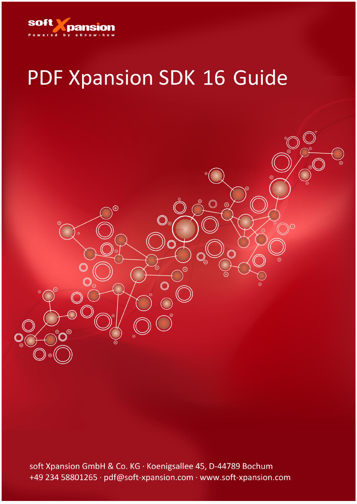

# PDF Xpansion SDK 16 Guide



soft Xpansion GmbH & Co. KG · Koenigsallee 45, D-44789 Bochum +49 234 58801265 · pdf@soft-xpansion.com · www.soft-xpansion.com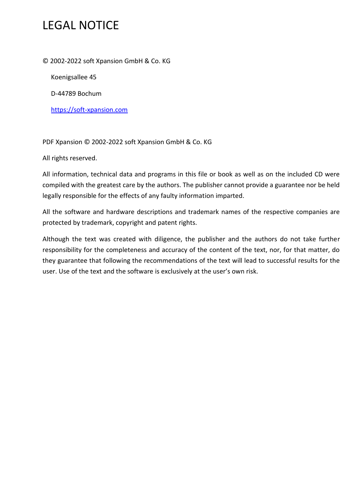# LEGAL NOTICE

© 2002-2022 soft Xpansion GmbH & Co. KG

Koenigsallee 45

D-44789 Bochum

[https://soft-xpansion.com](https://soft-xpansion.com/)

PDF Xpansion © 2002-2022 soft Xpansion GmbH & Co. KG

All rights reserved.

All information, technical data and programs in this file or book as well as on the included CD were compiled with the greatest care by the authors. The publisher cannot provide a guarantee nor be held legally responsible for the effects of any faulty information imparted.

All the software and hardware descriptions and trademark names of the respective companies are protected by trademark, copyright and patent rights.

Although the text was created with diligence, the publisher and the authors do not take further responsibility for the completeness and accuracy of the content of the text, nor, for that matter, do they guarantee that following the recommendations of the text will lead to successful results for the user. Use of the text and the software is exclusively at the user's own risk.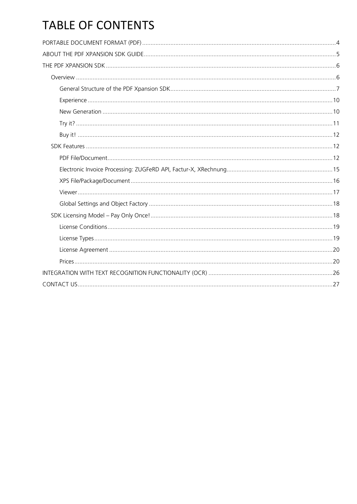# **TABLE OF CONTENTS**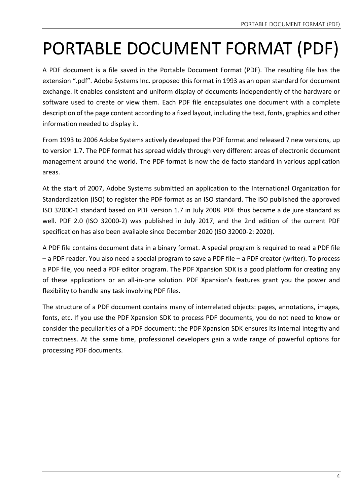# <span id="page-3-0"></span>PORTABLE DOCUMENT FORMAT (PDF)

A PDF document is a file saved in the Portable Document Format (PDF). The resulting file has the extension ".pdf". Adobe Systems Inc. proposed this format in 1993 as an open standard for document exchange. It enables consistent and uniform display of documents independently of the hardware or software used to create or view them. Each PDF file encapsulates one document with a complete description of the page content according to a fixed layout, including the text, fonts, graphics and other information needed to display it.

From 1993 to 2006 Adobe Systems actively developed the PDF format and released 7 new versions, up to version 1.7. The PDF format has spread widely through very different areas of electronic document management around the world. The PDF format is now the de facto standard in various application areas.

At the start of 2007, Adobe Systems submitted an application to the International Organization for Standardization (ISO) to register the PDF format as an ISO standard. The ISO published the approved ISO 32000-1 standard based on PDF version 1.7 in July 2008. PDF thus became a de jure standard as well. PDF 2.0 (ISO 32000-2) was published in July 2017, and the 2nd edition of the current PDF specification has also been available since December 2020 (ISO 32000-2: 2020).

A PDF file contains document data in a binary format. A special program is required to read a PDF file – a PDF reader. You also need a special program to save a PDF file – a PDF creator (writer). To process a PDF file, you need a PDF editor program. The PDF Xpansion SDK is a good platform for creating any of these applications or an all-in-one solution. PDF Xpansion's features grant you the power and flexibility to handle any task involving PDF files.

The structure of a PDF document contains many of interrelated objects: pages, annotations, images, fonts, etc. If you use the PDF Xpansion SDK to process PDF documents, you do not need to know or consider the peculiarities of a PDF document: the PDF Xpansion SDK ensures its internal integrity and correctness. At the same time, professional developers gain a wide range of powerful options for processing PDF documents.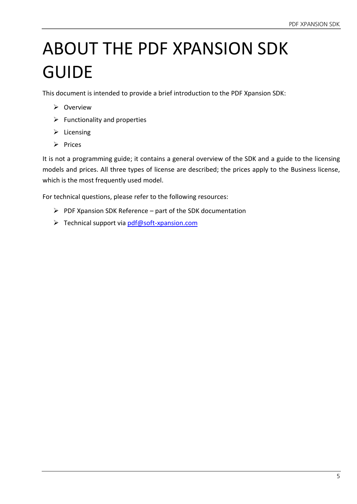# <span id="page-4-0"></span>ABOUT THE PDF XPANSION SDK GUIDE

This document is intended to provide a brief introduction to the PDF Xpansion SDK:

- ➢ Overview
- $\triangleright$  Functionality and properties
- $\triangleright$  Licensing
- ➢ Prices

It is not a programming guide; it contains a general overview of the SDK and a guide to the licensing models and prices. All three types of license are described; the prices apply to the Business license, which is the most frequently used model.

For technical questions, please refer to the following resources:

- $\triangleright$  PDF Xpansion SDK Reference part of the SDK documentation
- ➢ Technical support via [pdf@soft-xpansion.com](mailto:pdf@soft-xpansion.com)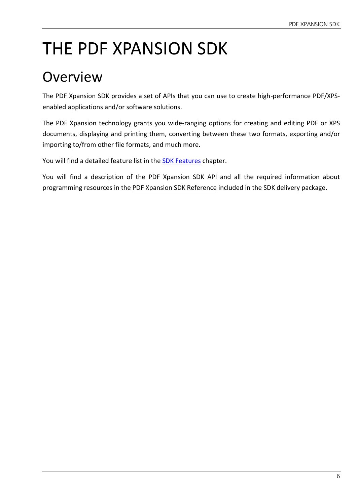# <span id="page-5-0"></span>THE PDF XPANSION SDK

# **Overview**

The PDF Xpansion SDK provides a set of APIs that you can use to create high-performance PDF/XPSenabled applications and/or software solutions.

The PDF Xpansion technology grants you wide-ranging options for creating and editing PDF or XPS documents, displaying and printing them, converting between these two formats, exporting and/or importing to/from other file formats, and much more.

You will find a detailed feature list in the [SDK Features](#page-11-0) chapter.

You will find a description of the PDF Xpansion SDK API and all the required information about programming resources in the PDF Xpansion SDK Reference included in the SDK delivery package.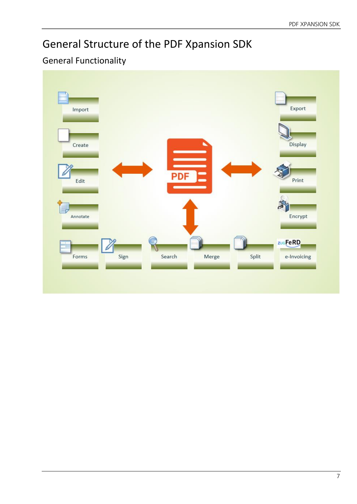# <span id="page-6-0"></span>General Structure of the PDF Xpansion SDK

# General Functionality

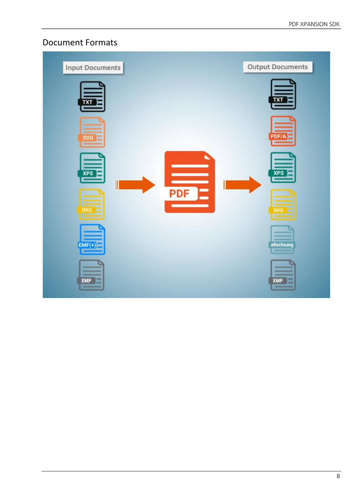## Document Formats

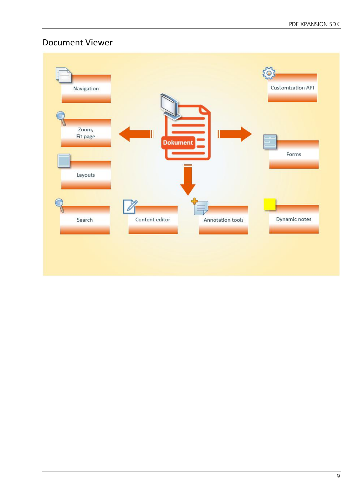## Document Viewer

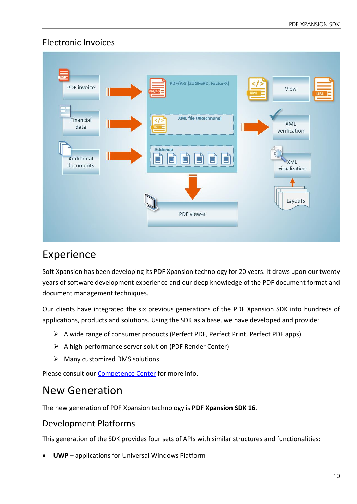### <span id="page-9-0"></span>Electronic Invoices



# Experience

Soft Xpansion has been developing its PDF Xpansion technology for 20 years. It draws upon our twenty years of software development experience and our deep knowledge of the PDF document format and document management techniques.

Our clients have integrated the six previous generations of the PDF Xpansion SDK into hundreds of applications, products and solutions. Using the SDK as a base, we have developed and provide:

- ➢ A wide range of consumer products (Perfect PDF, Perfect Print, Perfect PDF apps)
- ➢ A high-performance server solution (PDF Render Center)
- ➢ Many customized DMS solutions.

Please consult our [Competence Center](https://soft-xpansion.com/solutions/cc/) for more info.

# New Generation

The new generation of PDF Xpansion technology is **PDF Xpansion SDK 16**.

### Development Platforms

This generation of the SDK provides four sets of APIs with similar structures and functionalities:

• **UWP** – applications for Universal Windows Platform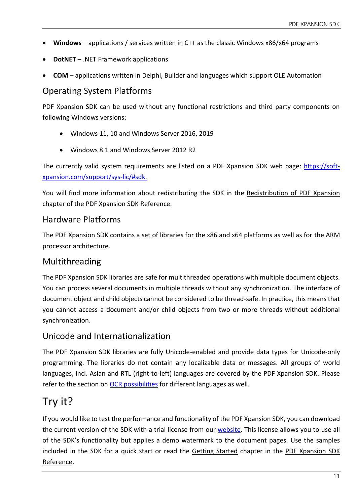- <span id="page-10-0"></span>• **Windows** – applications / services written in C++ as the classic Windows x86/x64 programs
- **DotNET** .NET Framework applications
- **COM** applications written in Delphi, Builder and languages which support OLE Automation

### Operating System Platforms

PDF Xpansion SDK can be used without any functional restrictions and third party components on following Windows versions:

- Windows 11, 10 and Windows Server 2016, 2019
- Windows 8.1 and Windows Server 2012 R2

The currently valid system requirements are listed on a PDF Xpansion SDK web page: [https://soft](https://soft-xpansion.com/support/sys-lic/#sdk)[xpansion.com/support/sys-lic/#sdk.](https://soft-xpansion.com/support/sys-lic/#sdk)

You will find more information about redistributing the SDK in the Redistribution of PDF Xpansion chapter of the PDF Xpansion SDK Reference.

### Hardware Platforms

The PDF Xpansion SDK contains a set of libraries for the x86 and x64 platforms as well as for the ARM processor architecture.

## Multithreading

The PDF Xpansion SDK libraries are safe for multithreaded operations with multiple document objects. You can process several documents in multiple threads without any synchronization. The interface of document object and child objects cannot be considered to be thread-safe. In practice, this means that you cannot access a document and/or child objects from two or more threads without additional synchronization.

### Unicode and Internationalization

The PDF Xpansion SDK libraries are fully Unicode-enabled and provide data types for Unicode-only programming. The libraries do not contain any localizable data or messages. All groups of world languages, incl. Asian and RTL (right-to-left) languages are covered by the PDF Xpansion SDK. Please refer to the section on [OCR possibilities](#page-25-0) for different languages as well.

# Try it?

If you would like to test the performance and functionality of the PDF Xpansion SDK, you can download the current version of the SDK with a trial license from our [website.](https://soft-xpansion.com/support/account/login/) This license allows you to use all of the SDK's functionality but applies a demo watermark to the document pages. Use the samples included in the SDK for a quick start or read the Getting Started chapter in the PDF Xpansion SDK Reference.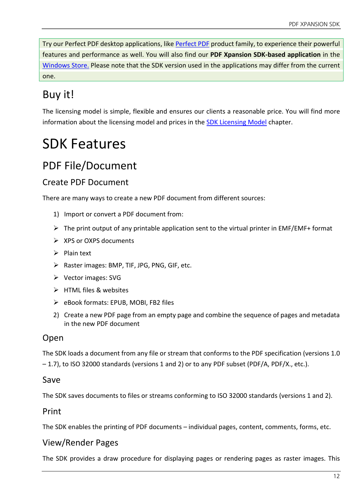<span id="page-11-0"></span>Try our Perfect PDF desktop applications, lik[e Perfect PDF](https://soft-xpansion.com/products/) product family, to experience their powerful features and performance as well. You will also find our **PDF Xpansion SDK-based application** in the [Windows Store.](https://www.microsoft.com/en-us/store/apps/perfect-pdf/9wzdncrdcl7j) Please note that the SDK version used in the applications may differ from the current one.

# Buy it!

The licensing model is simple, flexible and ensures our clients a reasonable price. You will find more information about the licensing model and prices in the [SDK Licensing Model](#page-17-0) chapter.

# SDK Features

# PDF File/Document

## Create PDF Document

There are many ways to create a new PDF document from different sources:

- 1) Import or convert a PDF document from:
- $\triangleright$  The print output of any printable application sent to the virtual printer in EMF/EMF+ format
- ➢ XPS or OXPS documents
- ➢ Plain text
- ➢ Raster images: BMP, TIF, JPG, PNG, GIF, etc.
- ➢ Vector images: SVG
- ➢ HTML files & websites
- ➢ eBook formats: EPUB, MOBI, FB2 files
- 2) Create a new PDF page from an empty page and combine the sequence of pages and metadata in the new PDF document

### Open

The SDK loads a document from any file or stream that conforms to the PDF specification (versions 1.0 – 1.7), to ISO 32000 standards (versions 1 and 2) or to any PDF subset (PDF/A, PDF/X., etc.).

### Save

The SDK saves documents to files or streams conforming to ISO 32000 standards (versions 1 and 2).

### Print

The SDK enables the printing of PDF documents – individual pages, content, comments, forms, etc.

### View/Render Pages

The SDK provides a draw procedure for displaying pages or rendering pages as raster images. This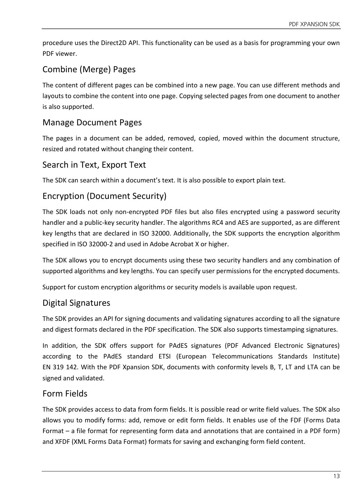procedure uses the Direct2D API. This functionality can be used as a basis for programming your own PDF viewer.

# Combine (Merge) Pages

The content of different pages can be combined into a new page. You can use different methods and layouts to combine the content into one page. Copying selected pages from one document to another is also supported.

# Manage Document Pages

The pages in a document can be added, removed, copied, moved within the document structure, resized and rotated without changing their content.

## Search in Text, Export Text

The SDK can search within a document's text. It is also possible to export plain text.

## Encryption (Document Security)

The SDK loads not only non-encrypted PDF files but also files encrypted using a password security handler and a public-key security handler. The algorithms RC4 and AES are supported, as are different key lengths that are declared in ISO 32000. Additionally, the SDK supports the encryption algorithm specified in ISO 32000-2 and used in Adobe Acrobat X or higher.

The SDK allows you to encrypt documents using these two security handlers and any combination of supported algorithms and key lengths. You can specify user permissions for the encrypted documents.

Support for custom encryption algorithms or security models is available upon request.

### Digital Signatures

The SDK provides an API for signing documents and validating signatures according to all the signature and digest formats declared in the PDF specification. The SDK also supports timestamping signatures.

In addition, the SDK offers support for PAdES signatures (PDF Advanced Electronic Signatures) according to the PAdES standard ETSI (European Telecommunications Standards Institute) EN 319 142. With the PDF Xpansion SDK, documents with conformity levels B, T, LT and LTA can be signed and validated.

### Form Fields

The SDK provides access to data from form fields. It is possible read or write field values. The SDK also allows you to modify forms: add, remove or edit form fields. It enables use of the FDF (Forms Data Format – a file format for representing form data and annotations that are contained in a PDF form) and XFDF (XML Forms Data Format) formats for saving and exchanging form field content.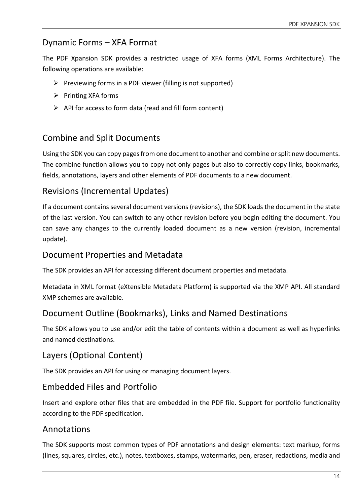### Dynamic Forms – XFA Format

The PDF Xpansion SDK provides a restricted usage of XFA forms (XML Forms Architecture). The following operations are available:

- ➢ Previewing forms in a PDF viewer (filling is not supported)
- ➢ Printing XFA forms
- ➢ API for access to form data (read and fill form content)

### Combine and Split Documents

Using the SDK you can copy pages from one document to another and combine or split new documents. The combine function allows you to copy not only pages but also to correctly copy links, bookmarks, fields, annotations, layers and other elements of PDF documents to a new document.

### Revisions (Incremental Updates)

If a document contains several document versions (revisions), the SDK loads the document in the state of the last version. You can switch to any other revision before you begin editing the document. You can save any changes to the currently loaded document as a new version (revision, incremental update).

### Document Properties and Metadata

The SDK provides an API for accessing different document properties and metadata.

Metadata in XML format (eXtensible Metadata Platform) is supported via the XMP API. All standard XMP schemes are available.

### Document Outline (Bookmarks), Links and Named Destinations

The SDK allows you to use and/or edit the table of contents within a document as well as hyperlinks and named destinations.

### Layers (Optional Content)

The SDK provides an API for using or managing document layers.

### Embedded Files and Portfolio

Insert and explore other files that are embedded in the PDF file. Support for portfolio functionality according to the PDF specification.

### Annotations

The SDK supports most common types of PDF annotations and design elements: text markup, forms (lines, squares, circles, etc.), notes, textboxes, stamps, watermarks, pen, eraser, redactions, media and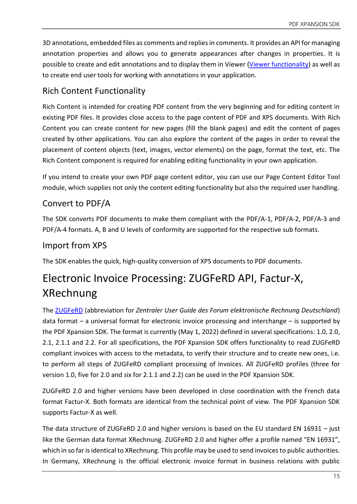<span id="page-14-0"></span>3D annotations, embedded files as comments and repliesin comments. It provides an API for managing annotation properties and allows you to generate appearances after changes in properties. It is possible to create and edit annotations and to display them in Viewer [\(Viewer functionality\)](#page-16-0) as well as to create end user tools for working with annotations in your application.

### Rich Content Functionality

Rich Content is intended for creating PDF content from the very beginning and for editing content in existing PDF files. It provides close access to the page content of PDF and XPS documents. With Rich Content you can create content for new pages (fill the blank pages) and edit the content of pages created by other applications. You can also explore the content of the pages in order to reveal the placement of content objects (text, images, vector elements) on the page, format the text, etc. The Rich Content component is required for enabling editing functionality in your own application.

If you intend to create your own PDF page content editor, you can use our Page Content Editor Tool module, which supplies not only the content editing functionality but also the required user handling.

## Convert to PDF/A

The SDK converts PDF documents to make them compliant with the PDF/A-1, PDF/A-2, PDF/A-3 and PDF/A-4 formats. A, B and U levels of conformity are supported for the respective sub formats.

### Import from XPS

The SDK enables the quick, high-quality conversion of XPS documents to PDF documents.

# Electronic Invoice Processing: ZUGFeRD API, Factur-X, XRechnung

The [ZUGFeRD](https://www.ferd-net.de/standards/what-is-zugferd/index.html) (abbreviation for *Zentraler User Guide des Forum elektronische Rechnung Deutschland*) data format – a universal format for electronic invoice processing and interchange – is supported by the PDF Xpansion SDK. The format is currently (May 1, 2022) defined in several specifications: 1.0, 2.0, 2.1, 2.1.1 and 2.2. For all specifications, the PDF Xpansion SDK offers functionality to read ZUGFeRD compliant invoices with access to the metadata, to verify their structure and to create new ones, i.e. to perform all steps of ZUGFeRD compliant processing of invoices. All ZUGFeRD profiles (three for version 1.0, five for 2.0 and six for 2.1.1 and 2.2) can be used in the PDF Xpansion SDK.

ZUGFeRD 2.0 and higher versions have been developed in close coordination with the French data format Factur-X. Both formats are identical from the technical point of view. The PDF Xpansion SDK supports Factur-X as well.

The data structure of ZUGFeRD 2.0 and higher versions is based on the EU standard EN 16931 – just like the German data format XRechnung. ZUGFeRD 2.0 and higher offer a profile named "EN 16931", which in so far is identical to XRechnung. This profile may be used to send invoices to public authorities. In Germany, XRechnung is the official electronic invoice format in business relations with public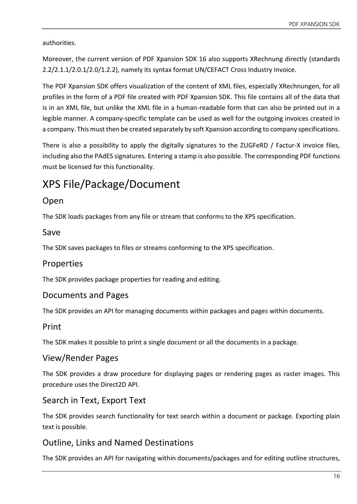<span id="page-15-0"></span>authorities.

Moreover, the current version of PDF Xpansion SDK 16 also supports XRechnung directly (standards 2.2/2.1.1/2.0.1/2.0/1.2.2), namely its syntax format UN/CEFACT Cross Industry Invoice.

The PDF Xpansion SDK offers visualization of the content of XML files, especially XRechnungen, for all profiles in the form of a PDF file created with PDF Xpansion SDK. This file contains all of the data that is in an XML file, but unlike the XML file in a human-readable form that can also be printed out in a legible manner. A company-specific template can be used as well for the outgoing invoices created in a company. This must then be created separately by soft Xpansion according to company specifications.

There is also a possibility to apply the digitally signatures to the ZUGFeRD / Factur-X invoice files, including also the PAdES signatures. Entering a stamp is also possible. The corresponding PDF functions must be licensed for this functionality.

# XPS File/Package/Document

### Open

The SDK loads packages from any file or stream that conforms to the XPS specification.

#### Save

The SDK saves packages to files or streams conforming to the XPS specification.

### Properties

The SDK provides package properties for reading and editing.

#### Documents and Pages

The SDK provides an API for managing documents within packages and pages within documents.

#### Print

The SDK makes it possible to print a single document or all the documents in a package.

#### View/Render Pages

The SDK provides a draw procedure for displaying pages or rendering pages as raster images. This procedure uses the Direct2D API.

### Search in Text, Export Text

The SDK provides search functionality for text search within a document or package. Exporting plain text is possible.

### Outline, Links and Named Destinations

The SDK provides an API for navigating within documents/packages and for editing outline structures,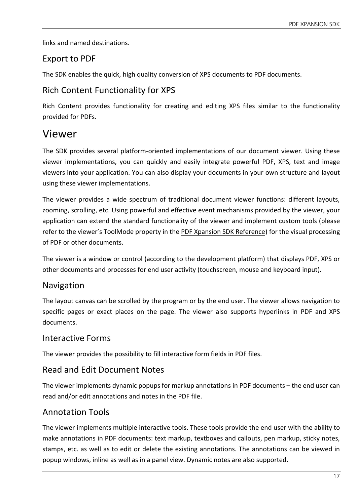<span id="page-16-0"></span>links and named destinations.

## Export to PDF

The SDK enables the quick, high quality conversion of XPS documents to PDF documents.

# Rich Content Functionality for XPS

Rich Content provides functionality for creating and editing XPS files similar to the functionality provided for PDFs.

# Viewer

The SDK provides several platform-oriented implementations of our document viewer. Using these viewer implementations, you can quickly and easily integrate powerful PDF, XPS, text and image viewers into your application. You can also display your documents in your own structure and layout using these viewer implementations.

The viewer provides a wide spectrum of traditional document viewer functions: different layouts, zooming, scrolling, etc. Using powerful and effective event mechanisms provided by the viewer, your application can extend the standard functionality of the viewer and implement custom tools (please refer to the viewer's ToolMode property in the PDF Xpansion SDK Reference) for the visual processing of PDF or other documents.

The viewer is a window or control (according to the development platform) that displays PDF, XPS or other documents and processes for end user activity (touchscreen, mouse and keyboard input).

# Navigation

The layout canvas can be scrolled by the program or by the end user. The viewer allows navigation to specific pages or exact places on the page. The viewer also supports hyperlinks in PDF and XPS documents.

## Interactive Forms

The viewer provides the possibility to fill interactive form fields in PDF files.

## Read and Edit Document Notes

The viewer implements dynamic popups for markup annotations in PDF documents – the end user can read and/or edit annotations and notes in the PDF file.

# Annotation Tools

The viewer implements multiple interactive tools. These tools provide the end user with the ability to make annotations in PDF documents: text markup, textboxes and callouts, pen markup, sticky notes, stamps, etc. as well as to edit or delete the existing annotations. The annotations can be viewed in popup windows, inline as well as in a panel view. Dynamic notes are also supported.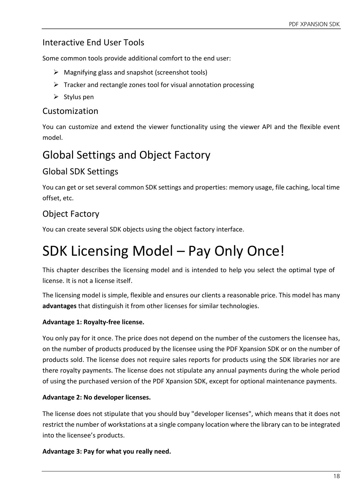## <span id="page-17-0"></span>Interactive End User Tools

Some common tools provide additional comfort to the end user:

- ➢ Magnifying glass and snapshot (screenshot tools)
- ➢ Tracker and rectangle zones tool for visual annotation processing
- $\triangleright$  Stylus pen

### Customization

You can customize and extend the viewer functionality using the viewer API and the flexible event model.

# Global Settings and Object Factory

# Global SDK Settings

You can get or set several common SDK settings and properties: memory usage, file caching, local time offset, etc.

# Object Factory

You can create several SDK objects using the object factory interface.

# SDK Licensing Model – Pay Only Once!

This chapter describes the licensing model and is intended to help you select the optimal type of license. It is not a license itself.

The licensing model is simple, flexible and ensures our clients a reasonable price. This model has many **advantages** that distinguish it from other licenses for similar technologies.

### **Advantage 1: Royalty-free license.**

You only pay for it once. The price does not depend on the number of the customers the licensee has, on the number of products produced by the licensee using the PDF Xpansion SDK or on the number of products sold. The license does not require sales reports for products using the SDK libraries nor are there royalty payments. The license does not stipulate any annual payments during the whole period of using the purchased version of the PDF Xpansion SDK, except for optional maintenance payments.

#### **Advantage 2: No developer licenses.**

The license does not stipulate that you should buy "developer licenses", which means that it does not restrict the number of workstations at a single company location where the library can to be integrated into the licensee's products.

#### **Advantage 3: Pay for what you really need.**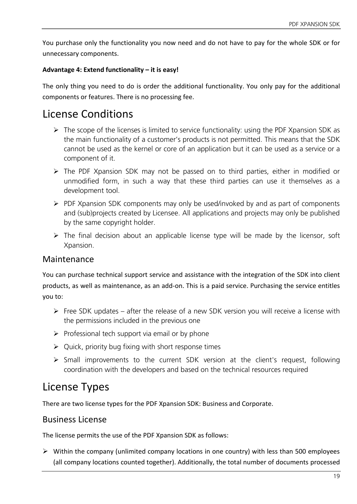<span id="page-18-0"></span>You purchase only the functionality you now need and do not have to pay for the whole SDK or for unnecessary components.

#### **Advantage 4: Extend functionality – it is easy!**

The only thing you need to do is order the additional functionality. You only pay for the additional components or features. There is no processing fee.

# License Conditions

- ➢ The scope of the licenses is limited to service functionality: using the PDF Xpansion SDK as the main functionality of a customer's products is not permitted. This means that the SDK cannot be used as the kernel or core of an application but it can be used as a service or a component of it.
- ➢ The PDF Xpansion SDK may not be passed on to third parties, either in modified or unmodified form, in such a way that these third parties can use it themselves as a development tool.
- ➢ PDF Xpansion SDK components may only be used/invoked by and as part of components and (sub)projects created by Licensee. All applications and projects may only be published by the same copyright holder.
- $\triangleright$  The final decision about an applicable license type will be made by the licensor, soft Xpansion.

#### Maintenance

You can purchase technical support service and assistance with the integration of the SDK into client products, as well as maintenance, as an add-on. This is a paid service. Purchasing the service entitles you to:

- $\triangleright$  Free SDK updates after the release of a new SDK version you will receive a license with the permissions included in the previous one
- $\triangleright$  Professional tech support via email or by phone
- $\triangleright$  Quick, priority bug fixing with short response times
- ➢ Small improvements to the current SDK version at the client's request, following coordination with the developers and based on the technical resources required

# License Types

There are two license types for the PDF Xpansion SDK: Business and Corporate.

#### Business License

The license permits the use of the PDF Xpansion SDK as follows:

 $\triangleright$  Within the company (unlimited company locations in one country) with less than 500 employees (all company locations counted together). Additionally, the total number of documents processed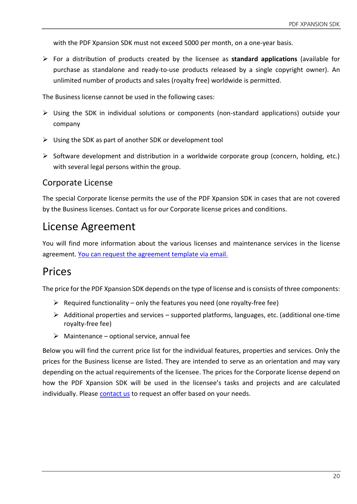<span id="page-19-0"></span>with the PDF Xpansion SDK must not exceed 5000 per month, on a one-year basis.

➢ For a distribution of products created by the licensee as **standard applications** (available for purchase as standalone and ready-to-use products released by a single copyright owner). An unlimited number of products and sales (royalty free) worldwide is permitted.

The Business license cannot be used in the following cases:

- ➢ Using the SDK in individual solutions or components (non-standard applications) outside your company
- $\triangleright$  Using the SDK as part of another SDK or development tool
- $\triangleright$  Software development and distribution in a worldwide corporate group (concern, holding, etc.) with several legal persons within the group.

#### Corporate License

The special Corporate license permits the use of the PDF Xpansion SDK in cases that are not covered by the Business licenses. Contact us for our Corporate license prices and conditions.

# License Agreement

You will find more information about the various licenses and maintenance services in the license agreement. You can request [the agreement template via email.](mailto:pdf@soft-xpansion.com)

# Prices

The price for the PDF Xpansion SDK depends on the type of license and is consists of three components:

- $\triangleright$  Required functionality only the features you need (one royalty-free fee)
- $\triangleright$  Additional properties and services supported platforms, languages, etc. (additional one-time royalty-free fee)
- $\triangleright$  Maintenance optional service, annual fee

Below you will find the current price list for the individual features, properties and services. Only the prices for the Business license are listed. They are intended to serve as an orientation and may vary depending on the actual requirements of the licensee. The prices for the Corporate license depend on how the PDF Xpansion SDK will be used in the licensee's tasks and projects and are calculated individually. Please [contact us](mailto:pdf@soft-xpansion.com) to request an offer based on your needs.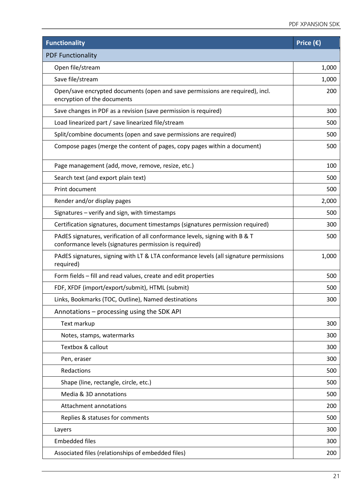| <b>Functionality</b>                                                                                                                   | Price $(\epsilon)$ |
|----------------------------------------------------------------------------------------------------------------------------------------|--------------------|
| <b>PDF Functionality</b>                                                                                                               |                    |
| Open file/stream                                                                                                                       | 1,000              |
| Save file/stream                                                                                                                       | 1,000              |
| Open/save encrypted documents (open and save permissions are required), incl.<br>encryption of the documents                           | 200                |
| Save changes in PDF as a revision (save permission is required)                                                                        | 300                |
| Load linearized part / save linearized file/stream                                                                                     | 500                |
| Split/combine documents (open and save permissions are required)                                                                       | 500                |
| Compose pages (merge the content of pages, copy pages within a document)                                                               | 500                |
| Page management (add, move, remove, resize, etc.)                                                                                      | 100                |
| Search text (and export plain text)                                                                                                    | 500                |
| Print document                                                                                                                         | 500                |
| Render and/or display pages                                                                                                            | 2,000              |
| Signatures - verify and sign, with timestamps                                                                                          | 500                |
| Certification signatures, document timestamps (signatures permission required)                                                         | 300                |
| PAdES signatures, verification of all conformance levels, signing with B & T<br>conformance levels (signatures permission is required) | 500                |
| PAdES signatures, signing with LT & LTA conformance levels (all signature permissions<br>required)                                     | 1,000              |
| Form fields - fill and read values, create and edit properties                                                                         | 500                |
| FDF, XFDF (import/export/submit), HTML (submit)                                                                                        | 500                |
| Links, Bookmarks (TOC, Outline), Named destinations                                                                                    | 300                |
| Annotations - processing using the SDK API                                                                                             |                    |
| Text markup                                                                                                                            | 300                |
| Notes, stamps, watermarks                                                                                                              | 300                |
| Textbox & callout                                                                                                                      | 300                |
| Pen, eraser                                                                                                                            | 300                |
| Redactions                                                                                                                             | 500                |
| Shape (line, rectangle, circle, etc.)                                                                                                  | 500                |
| Media & 3D annotations                                                                                                                 | 500                |
| Attachment annotations                                                                                                                 | 200                |
| Replies & statuses for comments                                                                                                        | 500                |
| Layers                                                                                                                                 | 300                |
| <b>Embedded files</b>                                                                                                                  | 300                |
| Associated files (relationships of embedded files)                                                                                     | 200                |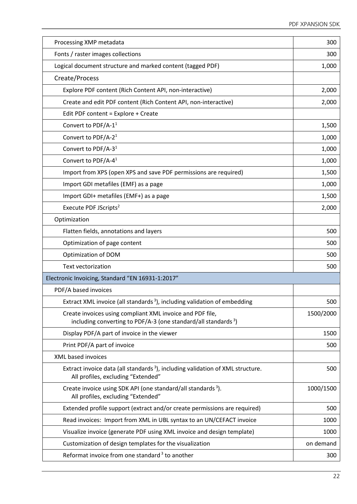| Fonts / raster images collections<br>Logical document structure and marked content (tagged PDF)<br>Create/Process<br>Explore PDF content (Rich Content API, non-interactive) | 300<br>1,000<br>2,000<br>2,000 |
|------------------------------------------------------------------------------------------------------------------------------------------------------------------------------|--------------------------------|
|                                                                                                                                                                              |                                |
|                                                                                                                                                                              |                                |
|                                                                                                                                                                              |                                |
|                                                                                                                                                                              |                                |
| Create and edit PDF content (Rich Content API, non-interactive)                                                                                                              |                                |
| Edit PDF content = Explore + Create                                                                                                                                          |                                |
| Convert to PDF/A- $1^1$                                                                                                                                                      | 1,500                          |
| Convert to PDF/A-2 <sup>1</sup>                                                                                                                                              | 1,000                          |
| Convert to PDF/A-3 <sup>1</sup>                                                                                                                                              | 1,000                          |
| Convert to PDF/A-4 <sup>1</sup>                                                                                                                                              | 1,000                          |
| Import from XPS (open XPS and save PDF permissions are required)                                                                                                             | 1,500                          |
| Import GDI metafiles (EMF) as a page                                                                                                                                         | 1,000                          |
| Import GDI+ metafiles (EMF+) as a page                                                                                                                                       | 1,500                          |
| Execute PDF JScripts <sup>2</sup>                                                                                                                                            | 2,000                          |
| Optimization                                                                                                                                                                 |                                |
| Flatten fields, annotations and layers                                                                                                                                       | 500                            |
| Optimization of page content                                                                                                                                                 | 500                            |
| Optimization of DOM                                                                                                                                                          | 500                            |
| <b>Text vectorization</b>                                                                                                                                                    | 500                            |
| Electronic Invoicing, Standard "EN 16931-1:2017"                                                                                                                             |                                |
| PDF/A based invoices                                                                                                                                                         |                                |
| Extract XML invoice (all standards <sup>3</sup> ), including validation of embedding                                                                                         | 500                            |
| Create invoices using compliant XML invoice and PDF file,<br>including converting to PDF/A-3 (one standard/all standards $3$ )                                               | 1500/2000                      |
| Display PDF/A part of invoice in the viewer                                                                                                                                  | 1500                           |
| Print PDF/A part of invoice                                                                                                                                                  | 500                            |
| XML based invoices                                                                                                                                                           |                                |
| Extract invoice data (all standards <sup>3</sup> ), including validation of XML structure.<br>All profiles, excluding "Extended"                                             | 500                            |
| Create invoice using SDK API (one standard/all standards <sup>3</sup> ).<br>All profiles, excluding "Extended"                                                               | 1000/1500                      |
| Extended profile support (extract and/or create permissions are required)                                                                                                    | 500                            |
| Read invoices: Import from XML in UBL syntax to an UN/CEFACT invoice                                                                                                         | 1000                           |
| Visualize invoice (generate PDF using XML invoice and design template)                                                                                                       | 1000                           |
| Customization of design templates for the visualization                                                                                                                      | on demand                      |
| Reformat invoice from one standard <sup>3</sup> to another                                                                                                                   | 300                            |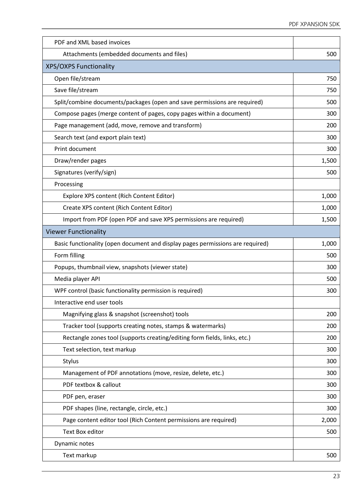| PDF and XML based invoices                                                     |       |
|--------------------------------------------------------------------------------|-------|
| Attachments (embedded documents and files)                                     | 500   |
| <b>XPS/OXPS Functionality</b>                                                  |       |
| Open file/stream                                                               | 750   |
| Save file/stream                                                               | 750   |
| Split/combine documents/packages (open and save permissions are required)      | 500   |
| Compose pages (merge content of pages, copy pages within a document)           | 300   |
| Page management (add, move, remove and transform)                              | 200   |
| Search text (and export plain text)                                            | 300   |
| Print document                                                                 | 300   |
| Draw/render pages                                                              | 1,500 |
| Signatures (verify/sign)                                                       | 500   |
| Processing                                                                     |       |
| Explore XPS content (Rich Content Editor)                                      | 1,000 |
| Create XPS content (Rich Content Editor)                                       | 1,000 |
| Import from PDF (open PDF and save XPS permissions are required)               | 1,500 |
| <b>Viewer Functionality</b>                                                    |       |
| Basic functionality (open document and display pages permissions are required) | 1,000 |
| Form filling                                                                   | 500   |
| Popups, thumbnail view, snapshots (viewer state)                               | 300   |
| Media player API                                                               | 500   |
| WPF control (basic functionality permission is required)                       | 300   |
| Interactive end user tools                                                     |       |
| Magnifying glass & snapshot (screenshot) tools                                 | 200   |
| Tracker tool (supports creating notes, stamps & watermarks)                    | 200   |
| Rectangle zones tool (supports creating/editing form fields, links, etc.)      | 200   |
| Text selection, text markup                                                    | 300   |
| Stylus                                                                         | 300   |
| Management of PDF annotations (move, resize, delete, etc.)                     | 300   |
| PDF textbox & callout                                                          | 300   |
| PDF pen, eraser                                                                | 300   |
| PDF shapes (line, rectangle, circle, etc.)                                     | 300   |
| Page content editor tool (Rich Content permissions are required)               | 2,000 |
| <b>Text Box editor</b>                                                         | 500   |
| Dynamic notes                                                                  |       |
| Text markup                                                                    | 500   |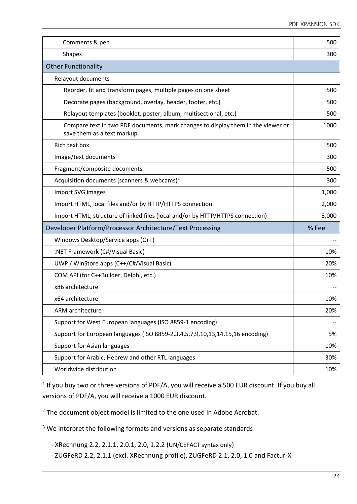| Comments & pen                                                                                                 | 500   |
|----------------------------------------------------------------------------------------------------------------|-------|
| <b>Shapes</b>                                                                                                  | 300   |
| <b>Other Functionality</b>                                                                                     |       |
| Relayout documents                                                                                             |       |
| Reorder, fit and transform pages, multiple pages on one sheet                                                  | 500   |
| Decorate pages (background, overlay, header, footer, etc.)                                                     | 500   |
| Relayout templates (booklet, poster, album, multisectional, etc.)                                              | 500   |
| Compare text in two PDF documents, mark changes to display them in the viewer or<br>save them as a text markup | 1000  |
| Rich text box                                                                                                  | 500   |
| Image/text documents                                                                                           | 300   |
| Fragment/composite documents                                                                                   | 500   |
| Acquisition documents (scanners & webcams) <sup>4</sup>                                                        | 300   |
| Import SVG images                                                                                              | 1,000 |
| Import HTML, local files and/or by HTTP/HTTPS connection                                                       | 2,000 |
| Import HTML, structure of linked files (local and/or by HTTP/HTTPS connection)                                 | 3,000 |
| Developer Platform/Processor Architecture/Text Processing                                                      | % Fee |
| Windows Desktop/Service apps (C++)                                                                             |       |
| .NET Framework (C#/Visual Basic)                                                                               | 10%   |
| UWP / WinStore apps (C++/C#/Visual Basic)                                                                      | 20%   |
| COM API (for C++Builder, Delphi, etc.)                                                                         | 10%   |
| x86 architecture                                                                                               |       |
| x64 architecture                                                                                               | 10%   |
| ARM architecture                                                                                               | 20%   |
| Support for West European languages (ISO 8859-1 encoding)                                                      |       |
| Support for European languages (ISO 8859-2, 3, 4, 5, 7, 9, 10, 13, 14, 15, 16 encoding)                        | 5%    |
| Support for Asian languages                                                                                    | 10%   |
| Support for Arabic, Hebrew and other RTL languages                                                             | 30%   |
| Worldwide distribution                                                                                         | 10%   |

<sup>1</sup> If you buy two or three versions of PDF/A, you will receive a 500 EUR discount. If you buy all versions of PDF/A, you will receive a 1000 EUR discount.

<sup>2</sup> The document object model is limited to the one used in Adobe Acrobat.

<sup>3</sup> We interpret the following formats and versions as separate standards:

- XRechnung 2.2, 2.1.1, 2.0.1, 2.0, 1.2.2 (UN/CEFACT syntax only)
- ZUGFeRD 2.2, 2.1.1 (excl. XRechnung profile), ZUGFeRD 2.1, 2.0, 1.0 and Factur-X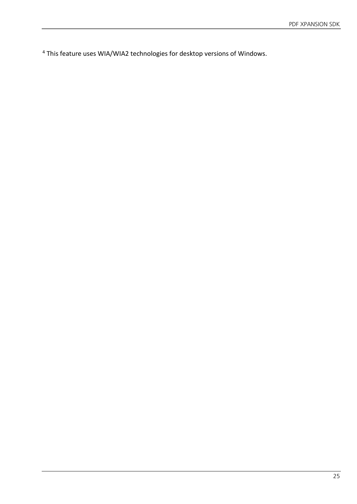This feature uses WIA/WIA2 technologies for desktop versions of Windows.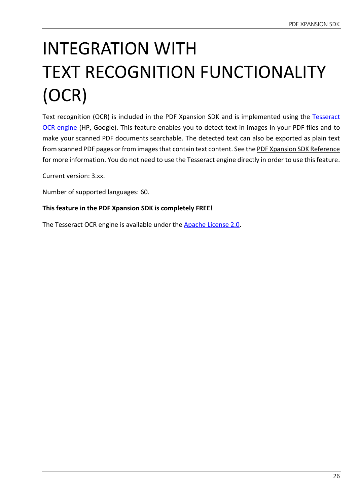# <span id="page-25-0"></span>INTEGRATION WITH TEXT RECOGNITION FUNCTIONALITY (OCR)

Text recognition (OCR) is included in the PDF Xpansion SDK and is implemented using the [Tesseract](http://code.google.com/p/tesseract-ocr/)  [OCR engine](http://code.google.com/p/tesseract-ocr/) (HP, Google). This feature enables you to detect text in images in your PDF files and to make your scanned PDF documents searchable. The detected text can also be exported as plain text from scanned PDF pages or from images that contain text content. See the PDF Xpansion SDK Reference for more information. You do not need to use the Tesseract engine directly in order to use this feature.

Current version: 3.xx.

Number of supported languages: 60.

#### **This feature in the PDF Xpansion SDK is completely FREE!**

The Tesseract OCR engine is available under the [Apache License 2.0.](http://www.apache.org/licenses/LICENSE-2.0)